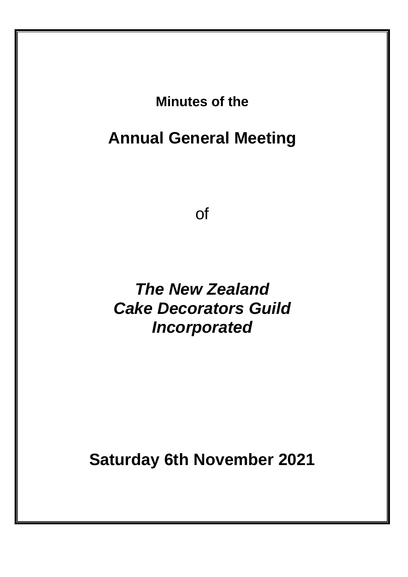**Minutes of the**

# **Annual General Meeting**

of

*The New Zealand Cake Decorators Guild Incorporated*

**Saturday 6th November 2021**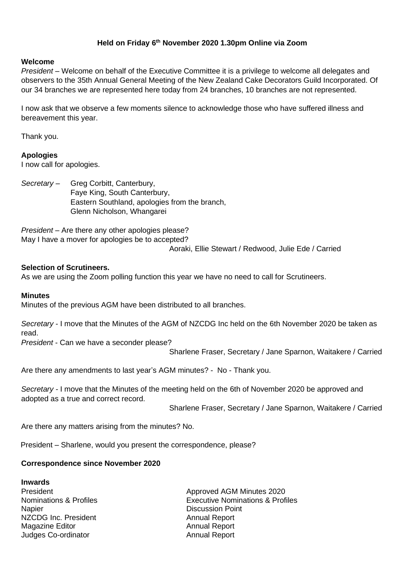#### **Held on Friday 6 th November 2020 1.30pm Online via Zoom**

#### **Welcome**

*President* – Welcome on behalf of the Executive Committee it is a privilege to welcome all delegates and observers to the 35th Annual General Meeting of the New Zealand Cake Decorators Guild Incorporated. Of our 34 branches we are represented here today from 24 branches, 10 branches are not represented.

I now ask that we observe a few moments silence to acknowledge those who have suffered illness and bereavement this year.

Thank you.

#### **Apologies**

I now call for apologies.

*Secretary* – Greg Corbitt, Canterbury, Faye King, South Canterbury, Eastern Southland, apologies from the branch, Glenn Nicholson, Whangarei

*President* – Are there any other apologies please? May I have a mover for apologies be to accepted?

Aoraki, Ellie Stewart / Redwood, Julie Ede / Carried

#### **Selection of Scrutineers.**

As we are using the Zoom polling function this year we have no need to call for Scrutineers.

#### **Minutes**

Minutes of the previous AGM have been distributed to all branches.

*Secretary* - I move that the Minutes of the AGM of NZCDG Inc held on the 6th November 2020 be taken as read.

*President* - Can we have a seconder please?

Sharlene Fraser, Secretary / Jane Sparnon, Waitakere / Carried

Are there any amendments to last year's AGM minutes? - No - Thank you.

*Secretary -* I move that the Minutes of the meeting held on the 6th of November 2020 be approved and adopted as a true and correct record.

Sharlene Fraser, Secretary / Jane Sparnon, Waitakere / Carried

Are there any matters arising from the minutes? No.

President – Sharlene, would you present the correspondence, please?

#### **Correspondence since November 2020**

**Inwards** Napier **Napier** 2008 **Napier** 2008 **Discussion Point** NZCDG Inc. President Annual Report Magazine Editor **Annual Report** Annual Report Judges Co-ordinator **Annual Report** 

President **Approved AGM Minutes 2020** Nominations & Profiles Executive Nominations & Profiles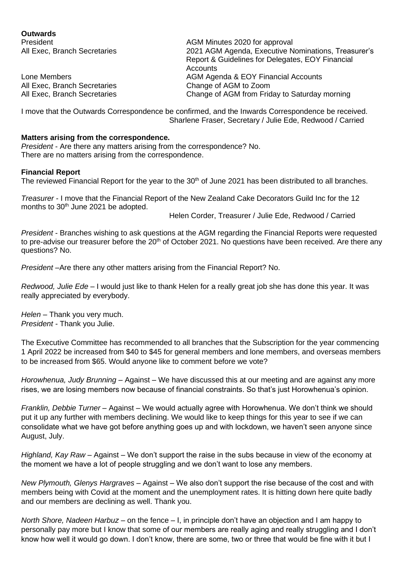| <b>Outwards</b>              |                                                     |
|------------------------------|-----------------------------------------------------|
| <b>President</b>             | AGM Minutes 2020 for approval                       |
| All Exec, Branch Secretaries | 2021 AGM Agenda, Executive Nominations, Treasurer's |
|                              | Report & Guidelines for Delegates, EOY Financial    |
|                              | Accounts                                            |
| Lone Members                 | AGM Agenda & EOY Financial Accounts                 |
| All Exec, Branch Secretaries | Change of AGM to Zoom                               |
| All Exec, Branch Secretaries | Change of AGM from Friday to Saturday morning       |

I move that the Outwards Correspondence be confirmed, and the Inwards Correspondence be received. Sharlene Fraser, Secretary / Julie Ede, Redwood / Carried

#### **Matters arising from the correspondence.**

*President* - Are there any matters arising from the correspondence? No. There are no matters arising from the correspondence.

#### **Financial Report**

The reviewed Financial Report for the year to the 30<sup>th</sup> of June 2021 has been distributed to all branches.

*Treasurer* - I move that the Financial Report of the New Zealand Cake Decorators Guild Inc for the 12 months to 30<sup>th</sup> June 2021 be adopted.

Helen Corder, Treasurer / Julie Ede, Redwood / Carried

*President* - Branches wishing to ask questions at the AGM regarding the Financial Reports were requested to pre-advise our treasurer before the 20<sup>th</sup> of October 2021. No questions have been received. Are there any questions? No.

*President* –Are there any other matters arising from the Financial Report? No.

*Redwood, Julie Ede –* I would just like to thank Helen for a really great job she has done this year. It was really appreciated by everybody.

*Helen –* Thank you very much. *President -* Thank you Julie.

The Executive Committee has recommended to all branches that the Subscription for the year commencing 1 April 2022 be increased from \$40 to \$45 for general members and lone members, and overseas members to be increased from \$65. Would anyone like to comment before we vote?

*Horowhenua, Judy Brunning* – Against – We have discussed this at our meeting and are against any more rises, we are losing members now because of financial constraints. So that's just Horowhenua's opinion.

*Franklin, Debbie Turner* – Against – We would actually agree with Horowhenua. We don't think we should put it up any further with members declining. We would like to keep things for this year to see if we can consolidate what we have got before anything goes up and with lockdown, we haven't seen anyone since August, July.

*Highland, Kay Raw* – Against – We don't support the raise in the subs because in view of the economy at the moment we have a lot of people struggling and we don't want to lose any members.

*New Plymouth, Glenys Hargraves* – Against – We also don't support the rise because of the cost and with members being with Covid at the moment and the unemployment rates. It is hitting down here quite badly and our members are declining as well. Thank you.

*North Shore, Nadeen Harbuz* – on the fence – I, in principle don't have an objection and I am happy to personally pay more but I know that some of our members are really aging and really struggling and I don't know how well it would go down. I don't know, there are some, two or three that would be fine with it but I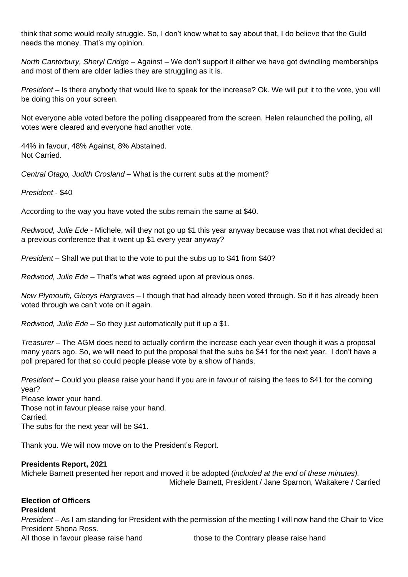think that some would really struggle. So, I don't know what to say about that, I do believe that the Guild needs the money. That's my opinion.

*North Canterbury, Sheryl Cridge* – Against – We don't support it either we have got dwindling memberships and most of them are older ladies they are struggling as it is.

*President* – Is there anybody that would like to speak for the increase? Ok. We will put it to the vote, you will be doing this on your screen.

Not everyone able voted before the polling disappeared from the screen. Helen relaunched the polling, all votes were cleared and everyone had another vote.

44% in favour, 48% Against, 8% Abstained. Not Carried.

*Central Otago, Judith Crosland* – What is the current subs at the moment?

*President* - \$40

According to the way you have voted the subs remain the same at \$40.

*Redwood, Julie Ede* - Michele, will they not go up \$1 this year anyway because was that not what decided at a previous conference that it went up \$1 every year anyway?

*President –* Shall we put that to the vote to put the subs up to \$41 from \$40?

*Redwood, Julie Ede* – That's what was agreed upon at previous ones.

*New Plymouth, Glenys Hargraves* – I though that had already been voted through. So if it has already been voted through we can't vote on it again.

*Redwood, Julie Ede* – So they just automatically put it up a \$1.

*Treasurer* – The AGM does need to actually confirm the increase each year even though it was a proposal many years ago. So, we will need to put the proposal that the subs be \$41 for the next year. I don't have a poll prepared for that so could people please vote by a show of hands.

*President* – Could you please raise your hand if you are in favour of raising the fees to \$41 for the coming year?

Please lower your hand. Those not in favour please raise your hand. Carried. The subs for the next year will be \$41.

Thank you. We will now move on to the President's Report.

#### **Presidents Report, 2021**

Michele Barnett presented her report and moved it be adopted (*included at the end of these minutes).* Michele Barnett, President / Jane Sparnon, Waitakere / Carried

### **Election of Officers**

#### **President**

*President* – As I am standing for President with the permission of the meeting I will now hand the Chair to Vice President Shona Ross.

All those in favour please raise hand those to the Contrary please raise hand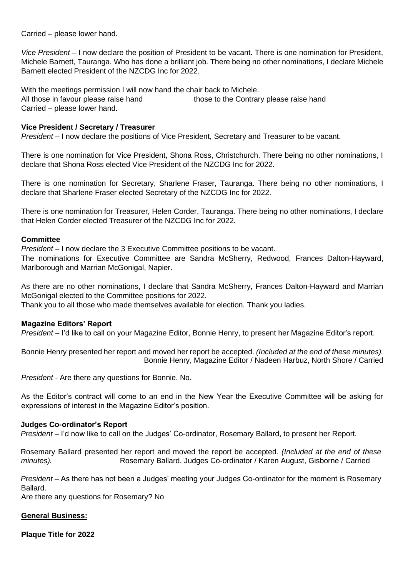Carried – please lower hand.

*Vice President* – I now declare the position of President to be vacant. There is one nomination for President, Michele Barnett, Tauranga. Who has done a brilliant job. There being no other nominations, I declare Michele Barnett elected President of the NZCDG Inc for 2022.

With the meetings permission I will now hand the chair back to Michele. All those in favour please raise hand those to the Contrary please raise hand Carried – please lower hand.

#### **Vice President / Secretary / Treasurer**

*President* – I now declare the positions of Vice President, Secretary and Treasurer to be vacant.

There is one nomination for Vice President, Shona Ross, Christchurch. There being no other nominations, I declare that Shona Ross elected Vice President of the NZCDG Inc for 2022.

There is one nomination for Secretary, Sharlene Fraser, Tauranga. There being no other nominations, I declare that Sharlene Fraser elected Secretary of the NZCDG Inc for 2022.

There is one nomination for Treasurer, Helen Corder, Tauranga. There being no other nominations, I declare that Helen Corder elected Treasurer of the NZCDG Inc for 2022.

#### **Committee**

*President* – I now declare the 3 Executive Committee positions to be vacant.

The nominations for Executive Committee are Sandra McSherry, Redwood, Frances Dalton-Hayward, Marlborough and Marrian McGonigal, Napier.

As there are no other nominations, I declare that Sandra McSherry, Frances Dalton-Hayward and Marrian McGonigal elected to the Committee positions for 2022.

Thank you to all those who made themselves available for election. Thank you ladies.

#### **Magazine Editors' Report**

*President* – I'd like to call on your Magazine Editor, Bonnie Henry, to present her Magazine Editor's report.

Bonnie Henry presented her report and moved her report be accepted. *(Included at the end of these minutes).* Bonnie Henry, Magazine Editor / Nadeen Harbuz, North Shore / Carried

*President* - Are there any questions for Bonnie. No.

As the Editor's contract will come to an end in the New Year the Executive Committee will be asking for expressions of interest in the Magazine Editor's position.

#### **Judges Co-ordinator's Report**

*President* – I'd now like to call on the Judges' Co-ordinator, Rosemary Ballard, to present her Report.

Rosemary Ballard presented her report and moved the report be accepted. *(Included at the end of these minutes).* Rosemary Ballard, Judges Co-ordinator / Karen August, Gisborne / Carried

*President* – As there has not been a Judges' meeting your Judges Co-ordinator for the moment is Rosemary Ballard.

Are there any questions for Rosemary? No

#### **General Business:**

**Plaque Title for 2022**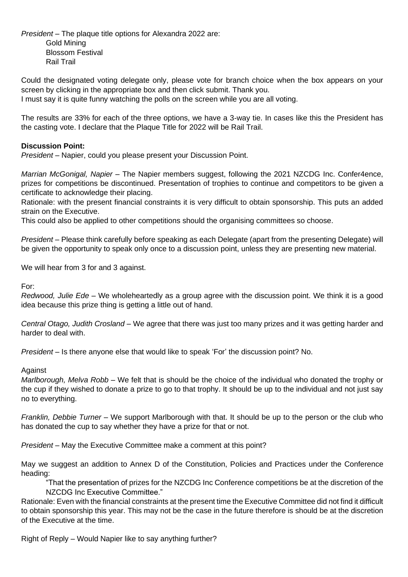*President* – The plaque title options for Alexandra 2022 are: Gold Mining Blossom Festival Rail Trail

Could the designated voting delegate only, please vote for branch choice when the box appears on your screen by clicking in the appropriate box and then click submit. Thank you.

I must say it is quite funny watching the polls on the screen while you are all voting.

The results are 33% for each of the three options, we have a 3-way tie. In cases like this the President has the casting vote. I declare that the Plaque Title for 2022 will be Rail Trail.

#### **Discussion Point:**

*President* – Napier, could you please present your Discussion Point.

*Marrian McGonigal, Napier* – The Napier members suggest, following the 2021 NZCDG Inc. Confer4ence, prizes for competitions be discontinued. Presentation of trophies to continue and competitors to be given a certificate to acknowledge their placing.

Rationale: with the present financial constraints it is very difficult to obtain sponsorship. This puts an added strain on the Executive.

This could also be applied to other competitions should the organising committees so choose.

*President* – Please think carefully before speaking as each Delegate (apart from the presenting Delegate) will be given the opportunity to speak only once to a discussion point, unless they are presenting new material.

We will hear from 3 for and 3 against.

For:

*Redwood, Julie Ede* – We wholeheartedly as a group agree with the discussion point. We think it is a good idea because this prize thing is getting a little out of hand.

*Central Otago, Judith Crosland* – We agree that there was just too many prizes and it was getting harder and harder to deal with.

*President* – Is there anyone else that would like to speak 'For' the discussion point? No.

#### Against

*Marlborough, Melva Robb* – We felt that is should be the choice of the individual who donated the trophy or the cup if they wished to donate a prize to go to that trophy. It should be up to the individual and not just say no to everything.

*Franklin, Debbie Turner* – We support Marlborough with that. It should be up to the person or the club who has donated the cup to say whether they have a prize for that or not.

*President* – May the Executive Committee make a comment at this point?

May we suggest an addition to Annex D of the Constitution, Policies and Practices under the Conference heading:

"That the presentation of prizes for the NZCDG Inc Conference competitions be at the discretion of the NZCDG Inc Executive Committee."

Rationale: Even with the financial constraints at the present time the Executive Committee did not find it difficult to obtain sponsorship this year. This may not be the case in the future therefore is should be at the discretion of the Executive at the time.

Right of Reply – Would Napier like to say anything further?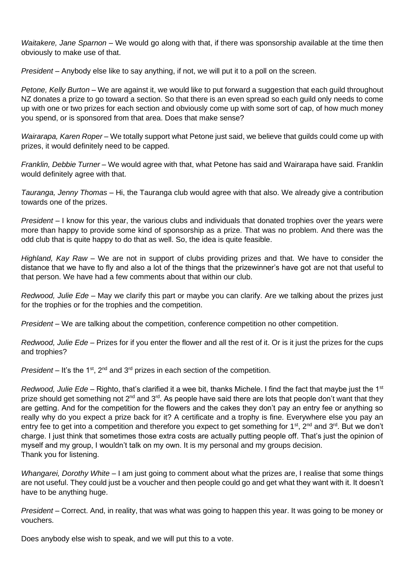*Waitakere, Jane Sparnon* – We would go along with that, if there was sponsorship available at the time then obviously to make use of that.

*President* – Anybody else like to say anything, if not, we will put it to a poll on the screen.

*Petone, Kelly Burton* – We are against it, we would like to put forward a suggestion that each guild throughout NZ donates a prize to go toward a section. So that there is an even spread so each quild only needs to come up with one or two prizes for each section and obviously come up with some sort of cap, of how much money you spend, or is sponsored from that area. Does that make sense?

*Wairarapa, Karen Roper* – We totally support what Petone just said, we believe that guilds could come up with prizes, it would definitely need to be capped.

*Franklin, Debbie Turner –* We would agree with that, what Petone has said and Wairarapa have said. Franklin would definitely agree with that.

*Tauranga, Jenny Thomas* – Hi, the Tauranga club would agree with that also. We already give a contribution towards one of the prizes.

*President* – I know for this year, the various clubs and individuals that donated trophies over the years were more than happy to provide some kind of sponsorship as a prize. That was no problem. And there was the odd club that is quite happy to do that as well. So, the idea is quite feasible.

*Highland, Kay Raw* – We are not in support of clubs providing prizes and that. We have to consider the distance that we have to fly and also a lot of the things that the prizewinner's have got are not that useful to that person. We have had a few comments about that within our club.

*Redwood, Julie Ede* – May we clarify this part or maybe you can clarify. Are we talking about the prizes just for the trophies or for the trophies and the competition.

*President* – We are talking about the competition, conference competition no other competition.

*Redwood, Julie Ede* – Prizes for if you enter the flower and all the rest of it. Or is it just the prizes for the cups and trophies?

*President* – It's the 1<sup>st</sup>, 2<sup>nd</sup> and 3<sup>rd</sup> prizes in each section of the competition.

*Redwood, Julie Ede* – Righto, that's clarified it a wee bit, thanks Michele. I find the fact that maybe just the 1st prize should get something not 2<sup>nd</sup> and 3<sup>rd</sup>. As people have said there are lots that people don't want that they are getting. And for the competition for the flowers and the cakes they don't pay an entry fee or anything so really why do you expect a prize back for it? A certificate and a trophy is fine. Everywhere else you pay an entry fee to get into a competition and therefore you expect to get something for 1<sup>st</sup>, 2<sup>nd</sup> and 3<sup>rd</sup>. But we don't charge. I just think that sometimes those extra costs are actually putting people off. That's just the opinion of myself and my group, I wouldn't talk on my own. It is my personal and my groups decision. Thank you for listening.

*Whangarei, Dorothy White* – I am just going to comment about what the prizes are, I realise that some things are not useful. They could just be a voucher and then people could go and get what they want with it. It doesn't have to be anything huge.

*President* – Correct. And, in reality, that was what was going to happen this year. It was going to be money or vouchers.

Does anybody else wish to speak, and we will put this to a vote.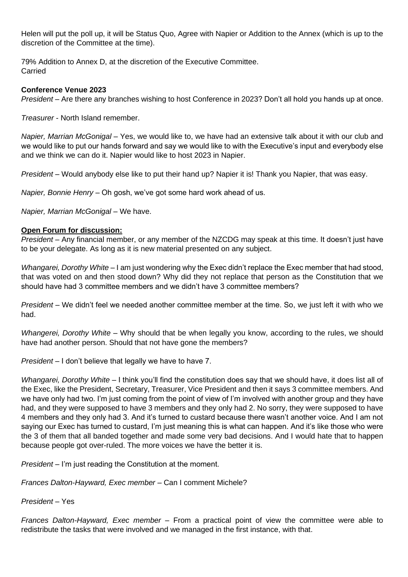Helen will put the poll up, it will be Status Quo, Agree with Napier or Addition to the Annex (which is up to the discretion of the Committee at the time).

79% Addition to Annex D, at the discretion of the Executive Committee. Carried

#### **Conference Venue 2023**

*President* – Are there any branches wishing to host Conference in 2023? Don't all hold you hands up at once.

*Treasurer* - North Island remember.

*Napier, Marrian McGonigal* – Yes, we would like to, we have had an extensive talk about it with our club and we would like to put our hands forward and say we would like to with the Executive's input and everybody else and we think we can do it. Napier would like to host 2023 in Napier.

*President* – Would anybody else like to put their hand up? Napier it is! Thank you Napier, that was easy.

*Napier, Bonnie Henry* – Oh gosh, we've got some hard work ahead of us.

*Napier, Marrian McGonigal* – We have.

#### **Open Forum for discussion:**

*President* – Any financial member, or any member of the NZCDG may speak at this time. It doesn't just have to be your delegate. As long as it is new material presented on any subject.

*Whangarei, Dorothy White* – I am just wondering why the Exec didn't replace the Exec member that had stood, that was voted on and then stood down? Why did they not replace that person as the Constitution that we should have had 3 committee members and we didn't have 3 committee members?

*President –* We didn't feel we needed another committee member at the time. So, we just left it with who we had.

*Whangerei, Dorothy White* – Why should that be when legally you know, according to the rules, we should have had another person. Should that not have gone the members?

*President* – I don't believe that legally we have to have 7.

*Whangarei, Dorothy White* – I think you'll find the constitution does say that we should have, it does list all of the Exec, like the President, Secretary, Treasurer, Vice President and then it says 3 committee members. And we have only had two. I'm just coming from the point of view of I'm involved with another group and they have had, and they were supposed to have 3 members and they only had 2. No sorry, they were supposed to have 4 members and they only had 3. And it's turned to custard because there wasn't another voice. And I am not saying our Exec has turned to custard, I'm just meaning this is what can happen. And it's like those who were the 3 of them that all banded together and made some very bad decisions. And I would hate that to happen because people got over-ruled. The more voices we have the better it is.

*President* – I'm just reading the Constitution at the moment.

*Frances Dalton-Hayward, Exec member* – Can I comment Michele?

*President* – Yes

*Frances Dalton-Hayward, Exec member* – From a practical point of view the committee were able to redistribute the tasks that were involved and we managed in the first instance, with that.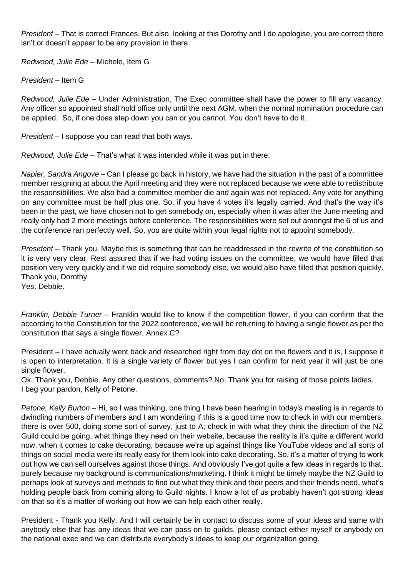*President* – That is correct Frances. But also, looking at this Dorothy and I do apologise, you are correct there isn't or doesn't appear to be any provision in there.

*Redwood, Julie Ede* – Michele, Item G

*President* – Item G

*Redwood, Julie Ede* – Under Administration, The Exec committee shall have the power to fill any vacancy. Any officer so appointed shall hold office only until the next AGM, when the normal nomination procedure can be applied. So, if one does step down you can or you cannot. You don't have to do it.

*President* – I suppose you can read that both ways.

*Redwood, Julie Ede* – That's what it was intended while it was put in there.

*Napier, Sandra Angove* – Can I please go back in history, we have had the situation in the past of a committee member resigning at about the April meeting and they were not replaced because we were able to redistribute the responsibilities. We also had a committee member die and again was not replaced. Any vote for anything on any committee must be half plus one. So, if you have 4 votes it's legally carried. And that's the way it's been in the past, we have chosen not to get somebody on, especially when it was after the June meeting and really only had 2 more meetings before conference. The responsibilities were set out amongst the 6 of us and the conference ran perfectly well. So, you are quite within your legal rights not to appoint somebody.

*President* – Thank you. Maybe this is something that can be readdressed in the rewrite of the constitution so it is very very clear. Rest assured that if we had voting issues on the committee, we would have filled that position very very quickly and if we did require somebody else, we would also have filled that position quickly. Thank you, Dorothy.

Yes, Debbie.

*Franklin, Debbie Turner* – Franklin would like to know if the competition flower, if you can confirm that the according to the Constitution for the 2022 conference, we will be returning to having a single flower as per the constitution that says a single flower, Annex C?

President – I have actually went back and researched right from day dot on the flowers and it is, I suppose it is open to interpretation. It is a single variety of flower but yes I can confirm for next year it will just be one single flower.

Ok. Thank you, Debbie. Any other questions, comments? No. Thank you for raising of those points ladies. I beg your pardon, Kelly of Petone.

*Petone, Kelly Burton* – Hi, so I was thinking, one thing I have been hearing in today's meeting is in regards to dwindling numbers of members and I am wondering if this is a good time now to check in with our members, there is over 500, doing some sort of survey, just to A; check in with what they think the direction of the NZ Guild could be going, what things they need on their website, because the reality is it's quite a different world now, when it comes to cake decorating, because we're up against things like YouTube videos and all sorts of things on social media were its really easy for them look into cake decorating. So, it's a matter of trying to work out how we can sell ourselves against those things. And obviously I've got quite a few ideas in regards to that, purely because my background is communications/marketing. I think it might be timely maybe the NZ Guild to perhaps look at surveys and methods to find out what they think and their peers and their friends need, what's holding people back from coming along to Guild nights. I know a lot of us probably haven't got strong ideas on that so it's a matter of working out how we can help each other really.

President - Thank you Kelly. And I will certainly be in contact to discuss some of your ideas and same with anybody else that has any ideas that we can pass on to guilds, please contact either myself or anybody on the national exec and we can distribute everybody's ideas to keep our organization going.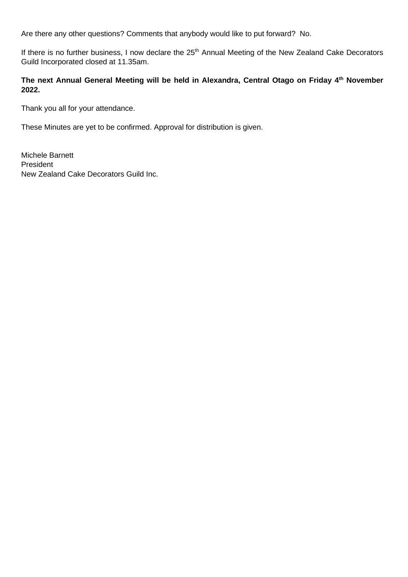Are there any other questions? Comments that anybody would like to put forward? No.

If there is no further business, I now declare the 25<sup>th</sup> Annual Meeting of the New Zealand Cake Decorators Guild Incorporated closed at 11.35am.

#### **The next Annual General Meeting will be held in Alexandra, Central Otago on Friday 4th November 2022.**

Thank you all for your attendance.

These Minutes are yet to be confirmed. Approval for distribution is given.

Michele Barnett President New Zealand Cake Decorators Guild Inc.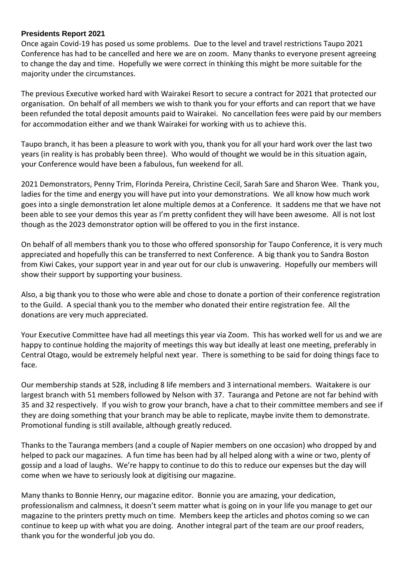#### **Presidents Report 2021**

Once again Covid-19 has posed us some problems. Due to the level and travel restrictions Taupo 2021 Conference has had to be cancelled and here we are on zoom. Many thanks to everyone present agreeing to change the day and time. Hopefully we were correct in thinking this might be more suitable for the majority under the circumstances.

The previous Executive worked hard with Wairakei Resort to secure a contract for 2021 that protected our organisation. On behalf of all members we wish to thank you for your efforts and can report that we have been refunded the total deposit amounts paid to Wairakei. No cancellation fees were paid by our members for accommodation either and we thank Wairakei for working with us to achieve this.

Taupo branch, it has been a pleasure to work with you, thank you for all your hard work over the last two years (in reality is has probably been three). Who would of thought we would be in this situation again, your Conference would have been a fabulous, fun weekend for all.

2021 Demonstrators, Penny Trim, Florinda Pereira, Christine Cecil, Sarah Sare and Sharon Wee. Thank you, ladies for the time and energy you will have put into your demonstrations. We all know how much work goes into a single demonstration let alone multiple demos at a Conference. It saddens me that we have not been able to see your demos this year as I'm pretty confident they will have been awesome. All is not lost though as the 2023 demonstrator option will be offered to you in the first instance.

On behalf of all members thank you to those who offered sponsorship for Taupo Conference, it is very much appreciated and hopefully this can be transferred to next Conference. A big thank you to Sandra Boston from Kiwi Cakes, your support year in and year out for our club is unwavering. Hopefully our members will show their support by supporting your business.

Also, a big thank you to those who were able and chose to donate a portion of their conference registration to the Guild. A special thank you to the member who donated their entire registration fee. All the donations are very much appreciated.

Your Executive Committee have had all meetings this year via Zoom. This has worked well for us and we are happy to continue holding the majority of meetings this way but ideally at least one meeting, preferably in Central Otago, would be extremely helpful next year. There is something to be said for doing things face to face.

Our membership stands at 528, including 8 life members and 3 international members. Waitakere is our largest branch with 51 members followed by Nelson with 37. Tauranga and Petone are not far behind with 35 and 32 respectively. If you wish to grow your branch, have a chat to their committee members and see if they are doing something that your branch may be able to replicate, maybe invite them to demonstrate. Promotional funding is still available, although greatly reduced.

Thanks to the Tauranga members (and a couple of Napier members on one occasion) who dropped by and helped to pack our magazines. A fun time has been had by all helped along with a wine or two, plenty of gossip and a load of laughs. We're happy to continue to do this to reduce our expenses but the day will come when we have to seriously look at digitising our magazine.

Many thanks to Bonnie Henry, our magazine editor. Bonnie you are amazing, your dedication, professionalism and calmness, it doesn't seem matter what is going on in your life you manage to get our magazine to the printers pretty much on time. Members keep the articles and photos coming so we can continue to keep up with what you are doing. Another integral part of the team are our proof readers, thank you for the wonderful job you do.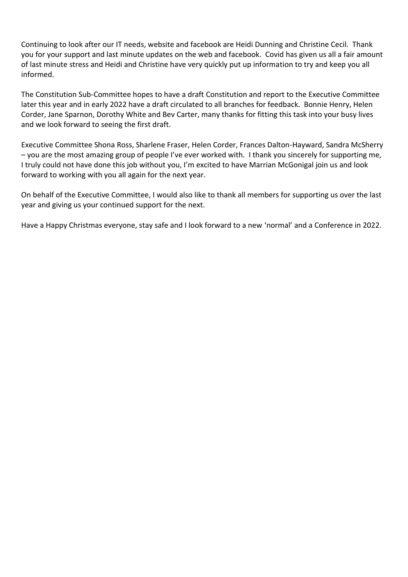Continuing to look after our IT needs, website and facebook are Heidi Dunning and Christine Cecil. Thank you for your support and last minute updates on the web and facebook. Covid has given us all a fair amount of last minute stress and Heidi and Christine have very quickly put up information to try and keep you all informed.

The Constitution Sub-Committee hopes to have a draft Constitution and report to the Executive Committee later this year and in early 2022 have a draft circulated to all branches for feedback. Bonnie Henry, Helen Corder, Jane Sparnon, Dorothy White and Bev Carter, many thanks for fitting this task into your busy lives and we look forward to seeing the first draft.

Executive Committee Shona Ross, Sharlene Fraser, Helen Corder, Frances Dalton-Hayward, Sandra McSherry – you are the most amazing group of people I've ever worked with. I thank you sincerely for supporting me, I truly could not have done this job without you, I'm excited to have Marrian McGonigal join us and look forward to working with you all again for the next year.

On behalf of the Executive Committee, I would also like to thank all members for supporting us over the last year and giving us your continued support for the next.

Have a Happy Christmas everyone, stay safe and I look forward to a new 'normal' and a Conference in 2022.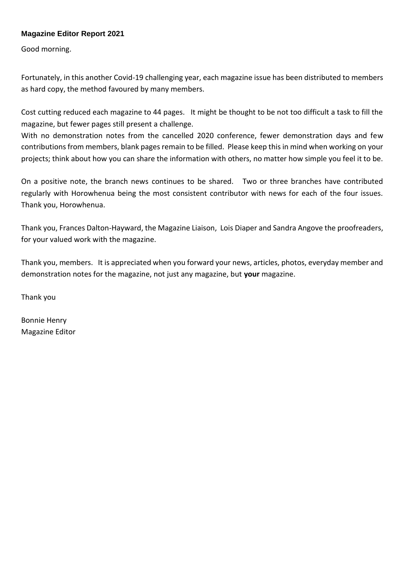#### **Magazine Editor Report 2021**

Good morning.

Fortunately, in this another Covid-19 challenging year, each magazine issue has been distributed to members as hard copy, the method favoured by many members.

Cost cutting reduced each magazine to 44 pages. It might be thought to be not too difficult a task to fill the magazine, but fewer pages still present a challenge.

With no demonstration notes from the cancelled 2020 conference, fewer demonstration days and few contributions from members, blank pages remain to be filled. Please keep this in mind when working on your projects; think about how you can share the information with others, no matter how simple you feel it to be.

On a positive note, the branch news continues to be shared. Two or three branches have contributed regularly with Horowhenua being the most consistent contributor with news for each of the four issues. Thank you, Horowhenua.

Thank you, Frances Dalton-Hayward, the Magazine Liaison, Lois Diaper and Sandra Angove the proofreaders, for your valued work with the magazine.

Thank you, members. It is appreciated when you forward your news, articles, photos, everyday member and demonstration notes for the magazine, not just any magazine, but **your** magazine.

Thank you

Bonnie Henry Magazine Editor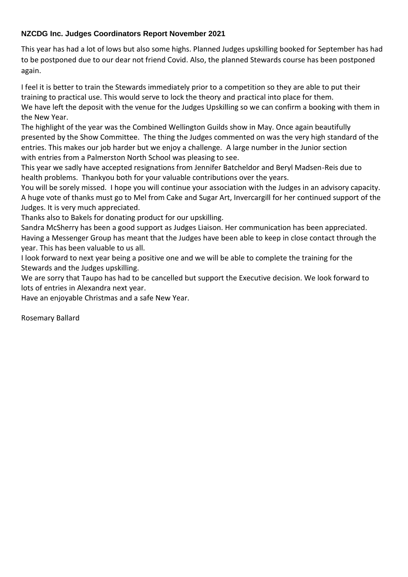#### **NZCDG Inc. Judges Coordinators Report November 2021**

This year has had a lot of lows but also some highs. Planned Judges upskilling booked for September has had to be postponed due to our dear not friend Covid. Also, the planned Stewards course has been postponed again.

I feel it is better to train the Stewards immediately prior to a competition so they are able to put their training to practical use. This would serve to lock the theory and practical into place for them. We have left the deposit with the venue for the Judges Upskilling so we can confirm a booking with them in the New Year.

The highlight of the year was the Combined Wellington Guilds show in May. Once again beautifully presented by the Show Committee. The thing the Judges commented on was the very high standard of the entries. This makes our job harder but we enjoy a challenge. A large number in the Junior section with entries from a Palmerston North School was pleasing to see.

This year we sadly have accepted resignations from Jennifer Batcheldor and Beryl Madsen-Reis due to health problems. Thankyou both for your valuable contributions over the years.

You will be sorely missed. I hope you will continue your association with the Judges in an advisory capacity. A huge vote of thanks must go to Mel from Cake and Sugar Art, Invercargill for her continued support of the Judges. It is very much appreciated.

Thanks also to Bakels for donating product for our upskilling.

Sandra McSherry has been a good support as Judges Liaison. Her communication has been appreciated. Having a Messenger Group has meant that the Judges have been able to keep in close contact through the year. This has been valuable to us all.

I look forward to next year being a positive one and we will be able to complete the training for the Stewards and the Judges upskilling.

We are sorry that Taupo has had to be cancelled but support the Executive decision. We look forward to lots of entries in Alexandra next year.

Have an enjoyable Christmas and a safe New Year.

Rosemary Ballard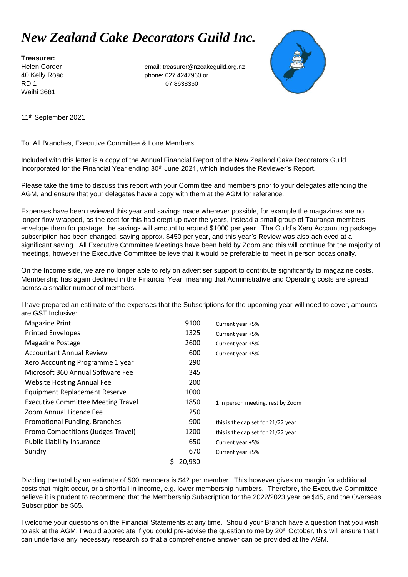## *New Zealand Cake Decorators Guild Inc.*

**Treasurer:** Waihi 3681

Helen Corder email: treasurer@nzcakeguild.org.nz 40 Kelly Road phone: 027 4247960 or RD 1 07 8638360



11th September 2021

#### To: All Branches, Executive Committee & Lone Members

Included with this letter is a copy of the Annual Financial Report of the New Zealand Cake Decorators Guild Incorporated for the Financial Year ending 30<sup>th</sup> June 2021, which includes the Reviewer's Report.

Please take the time to discuss this report with your Committee and members prior to your delegates attending the AGM, and ensure that your delegates have a copy with them at the AGM for reference.

Expenses have been reviewed this year and savings made wherever possible, for example the magazines are no longer flow wrapped, as the cost for this had crept up over the years, instead a small group of Tauranga members envelope them for postage, the savings will amount to around \$1000 per year. The Guild's Xero Accounting package subscription has been changed, saving approx. \$450 per year, and this year's Review was also achieved at a significant saving. All Executive Committee Meetings have been held by Zoom and this will continue for the majority of meetings, however the Executive Committee believe that it would be preferable to meet in person occasionally.

On the Income side, we are no longer able to rely on advertiser support to contribute significantly to magazine costs. Membership has again declined in the Financial Year, meaning that Administrative and Operating costs are spread across a smaller number of members.

I have prepared an estimate of the expenses that the Subscriptions for the upcoming year will need to cover, amounts are GST Inclusive:

| <b>Magazine Print</b>                     | 9100   | Current year +5%                   |
|-------------------------------------------|--------|------------------------------------|
| <b>Printed Envelopes</b>                  | 1325   | Current year +5%                   |
| <b>Magazine Postage</b>                   | 2600   | Current year +5%                   |
| <b>Accountant Annual Review</b>           | 600    | Current year +5%                   |
| Xero Accounting Programme 1 year          | 290    |                                    |
| Microsoft 360 Annual Software Fee         | 345    |                                    |
| <b>Website Hosting Annual Fee</b>         | 200    |                                    |
| <b>Equipment Replacement Reserve</b>      | 1000   |                                    |
| <b>Executive Committee Meeting Travel</b> | 1850   | 1 in person meeting, rest by Zoom  |
| Zoom Annual Licence Fee                   | 250    |                                    |
| Promotional Funding, Branches             | 900    | this is the cap set for 21/22 year |
| Promo Competitions (Judges Travel)        | 1200   | this is the cap set for 21/22 year |
| <b>Public Liability Insurance</b>         | 650    | Current year +5%                   |
| Sundry                                    | 670    | Current year +5%                   |
|                                           | 20.980 |                                    |

Dividing the total by an estimate of 500 members is \$42 per member. This however gives no margin for additional costs that might occur, or a shortfall in income, e.g. lower membership numbers. Therefore, the Executive Committee believe it is prudent to recommend that the Membership Subscription for the 2022/2023 year be \$45, and the Overseas Subscription be \$65.

I welcome your questions on the Financial Statements at any time. Should your Branch have a question that you wish to ask at the AGM, I would appreciate if you could pre-advise the question to me by 20<sup>th</sup> October, this will ensure that I can undertake any necessary research so that a comprehensive answer can be provided at the AGM.